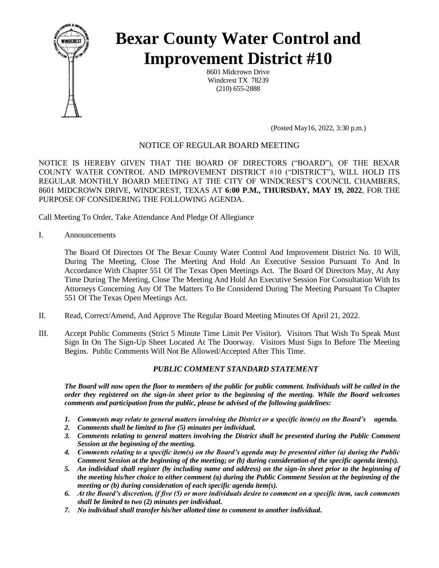

# **Bexar County Water Control and Improvement District #10**

8601 Midcrown Drive Windcrest TX 78239 (210) 655-2888

(Posted May16, 2022, 3:30 p.m.)

## NOTICE OF REGULAR BOARD MEETING

NOTICE IS HEREBY GIVEN THAT THE BOARD OF DIRECTORS ("BOARD"), OF THE BEXAR COUNTY WATER CONTROL AND IMPROVEMENT DISTRICT #10 ("DISTRICT"), WILL HOLD ITS REGULAR MONTHLY BOARD MEETING AT THE CITY OF WINDCREST'S COUNCIL CHAMBERS, 8601 MIDCROWN DRIVE, WINDCREST, TEXAS AT **6:00 P.M., THURSDAY, MAY 19, 2022**, FOR THE PURPOSE OF CONSIDERING THE FOLLOWING AGENDA.

Call Meeting To Order, Take Attendance And Pledge Of Allegiance

I. Announcements

The Board Of Directors Of The Bexar County Water Control And Improvement District No. 10 Will, During The Meeting, Close The Meeting And Hold An Executive Session Pursuant To And In Accordance With Chapter 551 Of The Texas Open Meetings Act. The Board Of Directors May, At Any Time During The Meeting, Close The Meeting And Hold An Executive Session For Consultation With Its Attorneys Concerning Any Of The Matters To Be Considered During The Meeting Pursuant To Chapter 551 Of The Texas Open Meetings Act.

- II. Read, Correct/Amend, And Approve The Regular Board Meeting Minutes Of April 21, 2022.
- III. Accept Public Comments (Strict 5 Minute Time Limit Per Visitor). Visitors That Wish To Speak Must Sign In On The Sign-Up Sheet Located At The Doorway. Visitors Must Sign In Before The Meeting Begins. Public Comments Will Not Be Allowed/Accepted After This Time.

### *PUBLIC COMMENT STANDARD STATEMENT*

*The Board will now open the floor to members of the public for public comment. Individuals will be called in the order they registered on the sign-in sheet prior to the beginning of the meeting. While the Board welcomes comments and participation from the public, please be advised of the following guidelines:* 

- *1. Comments may relate to general matters involving the District or a specific item(s) on the Board's agenda.*
- *2. Comments shall be limited to five (5) minutes per individual.*
- *3. Comments relating to general matters involving the District shall be presented during the Public Comment Session at the beginning of the meeting.*
- *4. Comments relating to a specific item(s) on the Board's agenda may be presented either (a) during the Public Comment Session at the beginning of the meeting; or (b) during consideration of the specific agenda item(s).*
- *5. An individual shall register (by including name and address) on the sign-in sheet prior to the beginning of the meeting his/her choice to either comment (a) during the Public Comment Session at the beginning of the meeting or (b) during consideration of each specific agenda item(s).*
- *6. At the Board's discretion, if five (5) or more individuals desire to comment on a specific item, such comments shall be limited to two (2) minutes per individual.*
- *7. No individual shall transfer his/her allotted time to comment to another individual.*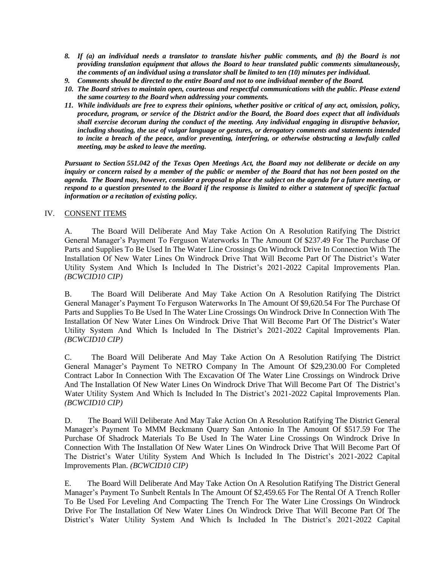- *8. If (a) an individual needs a translator to translate his/her public comments, and (b) the Board is not providing translation equipment that allows the Board to hear translated public comments simultaneously, the comments of an individual using a translator shall be limited to ten (10) minutes per individual.*
- *9. Comments should be directed to the entire Board and not to one individual member of the Board.*
- *10. The Board strives to maintain open, courteous and respectful communications with the public. Please extend the same courtesy to the Board when addressing your comments.*
- *11. While individuals are free to express their opinions, whether positive or critical of any act, omission, policy, procedure, program, or service of the District and/or the Board, the Board does expect that all individuals shall exercise decorum during the conduct of the meeting. Any individual engaging in disruptive behavior, including shouting, the use of vulgar language or gestures, or derogatory comments and statements intended to incite a breach of the peace, and/or preventing, interfering, or otherwise obstructing a lawfully called meeting, may be asked to leave the meeting.*

*Pursuant to Section 551.042 of the Texas Open Meetings Act, the Board may not deliberate or decide on any inquiry or concern raised by a member of the public or member of the Board that has not been posted on the agenda. The Board may, however, consider a proposal to place the subject on the agenda for a future meeting, or respond to a question presented to the Board if the response is limited to either a statement of specific factual information or a recitation of existing policy.*

#### IV. CONSENT ITEMS

A.The Board Will Deliberate And May Take Action On A Resolution Ratifying The District General Manager's Payment To Ferguson Waterworks In The Amount Of \$237.49 For The Purchase Of Parts and Supplies To Be Used In The Water Line Crossings On Windrock Drive In Connection With The Installation Of New Water Lines On Windrock Drive That Will Become Part Of The District's Water Utility System And Which Is Included In The District's 2021-2022 Capital Improvements Plan. *(BCWCID10 CIP)*

B. The Board Will Deliberate And May Take Action On A Resolution Ratifying The District General Manager's Payment To Ferguson Waterworks In The Amount Of \$9,620.54 For The Purchase Of Parts and Supplies To Be Used In The Water Line Crossings On Windrock Drive In Connection With The Installation Of New Water Lines On Windrock Drive That Will Become Part Of The District's Water Utility System And Which Is Included In The District's 2021-2022 Capital Improvements Plan. *(BCWCID10 CIP)*

C. The Board Will Deliberate And May Take Action On A Resolution Ratifying The District General Manager's Payment To NETRO Company In The Amount Of \$29,230.00 For Completed Contract Labor In Connection With The Excavation Of The Water Line Crossings on Windrock Drive And The Installation Of New Water Lines On Windrock Drive That Will Become Part Of The District's Water Utility System And Which Is Included In The District's 2021-2022 Capital Improvements Plan. *(BCWCID10 CIP)*

D. The Board Will Deliberate And May Take Action On A Resolution Ratifying The District General Manager's Payment To MMM Beckmann Quarry San Antonio In The Amount Of \$517.59 For The Purchase Of Shadrock Materials To Be Used In The Water Line Crossings On Windrock Drive In Connection With The Installation Of New Water Lines On Windrock Drive That Will Become Part Of The District's Water Utility System And Which Is Included In The District's 2021-2022 Capital Improvements Plan. *(BCWCID10 CIP)*

E. The Board Will Deliberate And May Take Action On A Resolution Ratifying The District General Manager's Payment To Sunbelt Rentals In The Amount Of \$2,459.65 For The Rental Of A Trench Roller To Be Used For Leveling And Compacting The Trench For The Water Line Crossings On Windrock Drive For The Installation Of New Water Lines On Windrock Drive That Will Become Part Of The District's Water Utility System And Which Is Included In The District's 2021-2022 Capital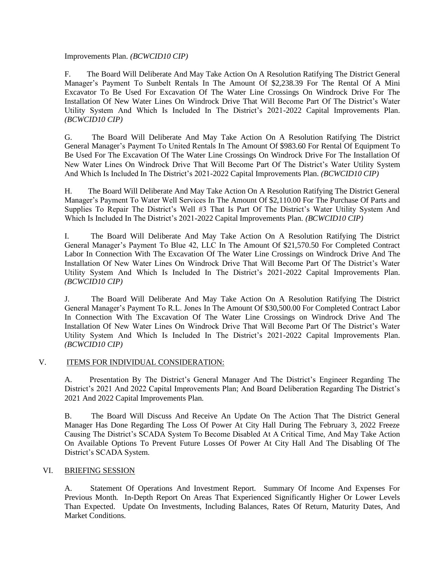Improvements Plan. *(BCWCID10 CIP)*

F. The Board Will Deliberate And May Take Action On A Resolution Ratifying The District General Manager's Payment To Sunbelt Rentals In The Amount Of \$2,238.39 For The Rental Of A Mini Excavator To Be Used For Excavation Of The Water Line Crossings On Windrock Drive For The Installation Of New Water Lines On Windrock Drive That Will Become Part Of The District's Water Utility System And Which Is Included In The District's 2021-2022 Capital Improvements Plan. *(BCWCID10 CIP)*

G.The Board Will Deliberate And May Take Action On A Resolution Ratifying The District General Manager's Payment To United Rentals In The Amount Of \$983.60 For Rental Of Equipment To Be Used For The Excavation Of The Water Line Crossings On Windrock Drive For The Installation Of New Water Lines On Windrock Drive That Will Become Part Of The District's Water Utility System And Which Is Included In The District's 2021-2022 Capital Improvements Plan. *(BCWCID10 CIP)*

H. The Board Will Deliberate And May Take Action On A Resolution Ratifying The District General Manager's Payment To Water Well Services In The Amount Of \$2,110.00 For The Purchase Of Parts and Supplies To Repair The District's Well #3 That Is Part Of The District's Water Utility System And Which Is Included In The District's 2021-2022 Capital Improvements Plan. *(BCWCID10 CIP)*

I. The Board Will Deliberate And May Take Action On A Resolution Ratifying The District General Manager's Payment To Blue 42, LLC In The Amount Of \$21,570.50 For Completed Contract Labor In Connection With The Excavation Of The Water Line Crossings on Windrock Drive And The Installation Of New Water Lines On Windrock Drive That Will Become Part Of The District's Water Utility System And Which Is Included In The District's 2021-2022 Capital Improvements Plan. *(BCWCID10 CIP)*

J. The Board Will Deliberate And May Take Action On A Resolution Ratifying The District General Manager's Payment To R.L. Jones In The Amount Of \$30,500.00 For Completed Contract Labor In Connection With The Excavation Of The Water Line Crossings on Windrock Drive And The Installation Of New Water Lines On Windrock Drive That Will Become Part Of The District's Water Utility System And Which Is Included In The District's 2021-2022 Capital Improvements Plan. *(BCWCID10 CIP)*

#### V. ITEMS FOR INDIVIDUAL CONSIDERATION:

A. Presentation By The District's General Manager And The District's Engineer Regarding The District's 2021 And 2022 Capital Improvements Plan; And Board Deliberation Regarding The District's 2021 And 2022 Capital Improvements Plan.

B. The Board Will Discuss And Receive An Update On The Action That The District General Manager Has Done Regarding The Loss Of Power At City Hall During The February 3, 2022 Freeze Causing The District's SCADA System To Become Disabled At A Critical Time, And May Take Action On Available Options To Prevent Future Losses Of Power At City Hall And The Disabling Of The District's SCADA System.

#### VI. BRIEFING SESSION

A. Statement Of Operations And Investment Report. Summary Of Income And Expenses For Previous Month. In-Depth Report On Areas That Experienced Significantly Higher Or Lower Levels Than Expected. Update On Investments, Including Balances, Rates Of Return, Maturity Dates, And Market Conditions.